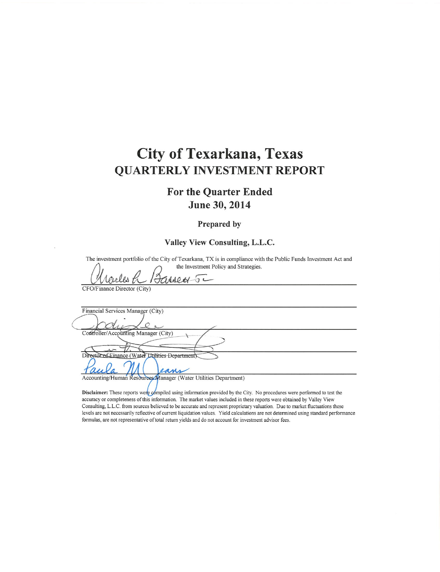## **City of Texarkana, Texas QUARTERLY INVESTMENT REPORT**

#### **For the Quarter Ended** June 30, 2014

#### Prepared by

#### Valley View Consulting, L.L.C.

The investment portfolio of the City of Texarkana, TX is in compliance with the Public Funds Investment Act and the Investment Policy and Strategies.

 $5-$ 

CFO/Finance Director (City)

Financial Services Manager (City) Controller/Accounting Manager (City) Director of Einance (Water Utilities Department) am Accounting/Human Resources Manager (Water Utilities Department)

Disclaimer: These reports were compiled using information provided by the City. No procedures were performed to test the accuracy or completeness of this information. The market values included in these reports were obtained by Valley View

Consulting, L.L.C. from sources believed to be accurate and represent proprietary valuation. Due to market fluctuations these levels are not necessarily reflective of current liquidation values. Yield calculations are not determined using standard performance formulas, are not representative of total return yields and do not account for investment advisor fees.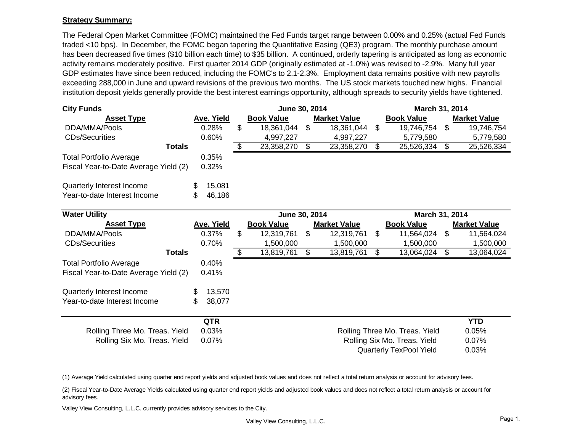#### **Strategy Summary:**

The Federal Open Market Committee (FOMC) maintained the Fed Funds target range between 0.00% and 0.25% (actual Fed Funds traded <10 bps). In December, the FOMC began tapering the Quantitative Easing (QE3) program. The monthly purchase amount has been decreased five times (\$10 billion each time) to \$35 billion. A continued, orderly tapering is anticipated as long as economic activity remains moderately positive. First quarter 2014 GDP (originally estimated at -1.0%) was revised to -2.9%. Many full year GDP estimates have since been reduced, including the FOMC's to 2.1-2.3%. Employment data remains positive with new payrolls exceeding 288,000 in June and upward revisions of the previous two months. The US stock markets touched new highs. Financial institution deposit yields generally provide the best interest earnings opportunity, although spreads to security yields have tightened.

| <b>City Funds</b>                     |                   | June 30, 2014     |                |                     |                | March 31, 2014                 |                     |
|---------------------------------------|-------------------|-------------------|----------------|---------------------|----------------|--------------------------------|---------------------|
| <b>Asset Type</b>                     | Ave. Yield        | <b>Book Value</b> |                | <b>Market Value</b> |                | <b>Book Value</b>              | <b>Market Value</b> |
| DDA/MMA/Pools                         | 0.28%             | \$<br>18,361,044  | $\mathfrak{S}$ | 18,361,044          | \$             | 19,746,754                     | \$<br>19,746,754    |
| <b>CDs/Securities</b>                 | 0.60%             | 4,997,227         |                | 4,997,227           |                | 5,779,580                      | 5,779,580           |
| <b>Totals</b>                         |                   | \$<br>23,358,270  | \$             | 23,358,270          | \$             | 25,526,334                     | \$<br>25,526,334    |
| <b>Total Portfolio Average</b>        | 0.35%             |                   |                |                     |                |                                |                     |
| Fiscal Year-to-Date Average Yield (2) | 0.32%             |                   |                |                     |                |                                |                     |
| Quarterly Interest Income             | 15,081<br>\$      |                   |                |                     |                |                                |                     |
| Year-to-date Interest Income          | \$.<br>46,186     |                   |                |                     |                |                                |                     |
| <b>Water Utility</b>                  |                   | June 30, 2014     |                |                     |                | March 31, 2014                 |                     |
| <b>Asset Type</b>                     | <b>Ave. Yield</b> | <b>Book Value</b> |                | <b>Market Value</b> |                | <b>Book Value</b>              | <b>Market Value</b> |
| DDA/MMA/Pools                         | 0.37%             | \$<br>12,319,761  | \$             | 12,319,761          | \$             | 11,564,024                     | \$<br>11,564,024    |
| <b>CDs/Securities</b>                 | 0.70%             | 1,500,000         |                | 1,500,000           |                | 1,500,000                      | 1,500,000           |
| <b>Totals</b>                         |                   | \$<br>13,819,761  | \$             | 13,819,761          | $\mathfrak{L}$ | 13,064,024                     | \$<br>13,064,024    |
| <b>Total Portfolio Average</b>        | 0.40%             |                   |                |                     |                |                                |                     |
| Fiscal Year-to-Date Average Yield (2) | 0.41%             |                   |                |                     |                |                                |                     |
| Quarterly Interest Income             | 13,570<br>\$      |                   |                |                     |                |                                |                     |
| Year-to-date Interest Income          | \$<br>38,077      |                   |                |                     |                |                                |                     |
|                                       | <b>QTR</b>        |                   |                |                     |                |                                | <b>YTD</b>          |
| Rolling Three Mo. Treas. Yield        | 0.03%             |                   |                |                     |                | Rolling Three Mo. Treas. Yield | 0.05%               |
| Rolling Six Mo. Treas. Yield          | 0.07%             |                   |                |                     |                | Rolling Six Mo. Treas. Yield   | 0.07%               |
|                                       |                   |                   |                |                     |                | Quarterly TexPool Yield        | 0.03%               |

(1) Average Yield calculated using quarter end report yields and adjusted book values and does not reflect a total return analysis or account for advisory fees.

(2) Fiscal Year-to-Date Average Yields calculated using quarter end report yields and adjusted book values and does not reflect a total return analysis or account for advisory fees.

Valley View Consulting, L.L.C. currently provides advisory services to the City.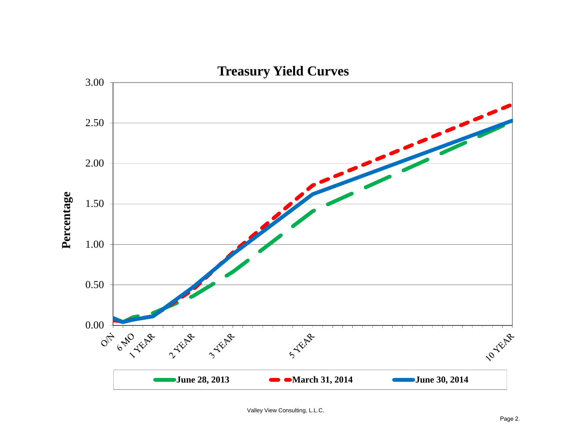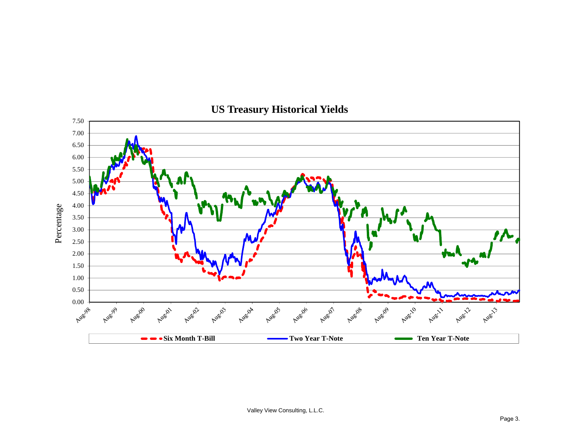

## **US Treasury Historical Yields**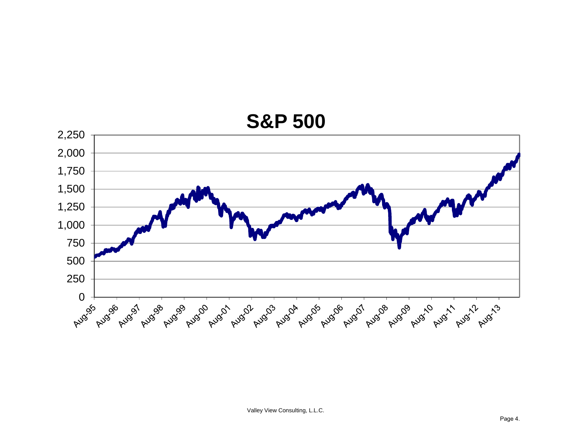

# **S&P 500**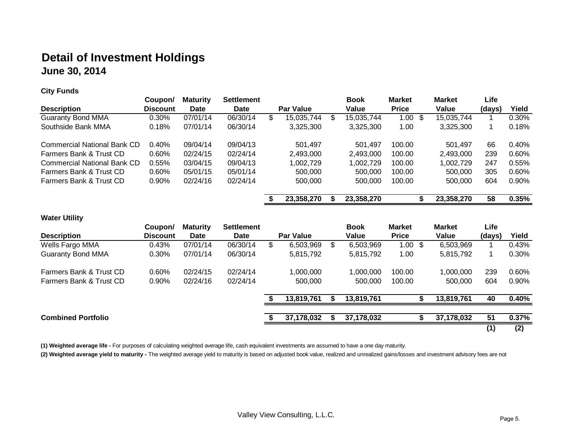## **Detail of Investment Holdings June 30, 2014**

**City Funds**

|                                    | Coupon/         | <b>Maturity</b> | <b>Settlement</b> |   |            | <b>Book</b>      | <b>Market</b> | <b>Market</b> | Life   |          |
|------------------------------------|-----------------|-----------------|-------------------|---|------------|------------------|---------------|---------------|--------|----------|
| <b>Description</b>                 | <b>Discount</b> | Date            | Date              |   | Par Value  | Value            | <b>Price</b>  | Value         | (days) | Yield    |
| <b>Guaranty Bond MMA</b>           | $0.30\%$        | 07/01/14        | 06/30/14          | Œ | 15,035,744 | \$<br>15,035,744 | 1.00<br>-S    | 15,035,744    |        | 0.30%    |
| Southside Bank MMA                 | 0.18%           | 07/01/14        | 06/30/14          |   | 3,325,300  | 3,325,300        | 1.00          | 3,325,300     |        | 0.18%    |
| <b>Commercial National Bank CD</b> | 0.40%           | 09/04/14        | 09/04/13          |   | 501,497    | 501.497          | 100.00        | 501.497       | 66     | 0.40%    |
| Farmers Bank & Trust CD            | $0.60\%$        | 02/24/15        | 02/24/14          |   | 2,493,000  | 2.493.000        | 100.00        | 2.493.000     | 239    | 0.60%    |
| Commercial National Bank CD        | $0.55\%$        | 03/04/15        | 09/04/13          |   | 1,002,729  | 1,002,729        | 100.00        | 1,002,729     | 247    | $0.55\%$ |
| Farmers Bank & Trust CD            | 0.60%           | 05/01/15        | 05/01/14          |   | 500,000    | 500,000          | 100.00        | 500,000       | 305    | 0.60%    |
| Farmers Bank & Trust CD            | $0.90\%$        | 02/24/16        | 02/24/14          |   | 500,000    | 500,000          | 100.00        | 500,000       | 604    | 0.90%    |
|                                    |                 |                 |                   |   | 23,358,270 | 23,358,270       |               | 23,358,270    | 58     | 0.35%    |

**Water Utility**

|                           | Coupon/         | <b>Maturity</b> | <b>Settlement</b> |   |                  | <b>Book</b>     | <b>Market</b>      | <b>Market</b> | Life   |          |
|---------------------------|-----------------|-----------------|-------------------|---|------------------|-----------------|--------------------|---------------|--------|----------|
| <b>Description</b>        | <b>Discount</b> | Date            | <b>Date</b>       |   | <b>Par Value</b> | Value           | <b>Price</b>       | Value         | (days) | Yield    |
| Wells Fargo MMA           | 0.43%           | 07/01/14        | 06/30/14          | S | 6,503,969        | \$<br>6,503,969 | $1.00 \text{ }$ \$ | 6,503,969     |        | 0.43%    |
| <b>Guaranty Bond MMA</b>  | 0.30%           | 07/01/14        | 06/30/14          |   | 5,815,792        | 5,815,792       | 1.00               | 5,815,792     |        | 0.30%    |
| Farmers Bank & Trust CD   | 0.60%           | 02/24/15        | 02/24/14          |   | 1,000,000        | 1,000,000       | 100.00             | 1,000,000     | 239    | 0.60%    |
| Farmers Bank & Trust CD   | 0.90%           | 02/24/16        | 02/24/14          |   | 500,000          | 500,000         | 100.00             | 500,000       | 604    | $0.90\%$ |
|                           |                 |                 |                   |   | 13,819,761       | 13,819,761      |                    | 13,819,761    | 40     | 0.40%    |
| <b>Combined Portfolio</b> |                 |                 |                   |   | 37,178,032       | 37,178,032      |                    | 37,178,032    | 51     | 0.37%    |
|                           |                 |                 |                   |   |                  |                 |                    |               | (1)    | (2)      |

**(1) Weighted average life -** For purposes of calculating weighted average life, cash equivalent investments are assumed to have a one day maturity.

(2) Weighted average yield to maturity - The weighted average yield to maturity is based on adjusted book value, realized and unrealized gains/losses and investment advisory fees are not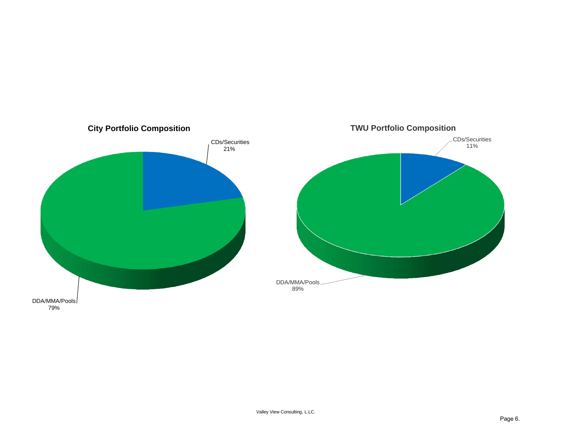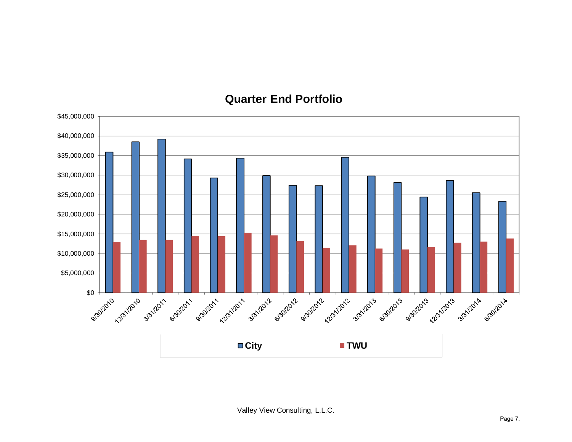

### **Quarter End Portfolio**

Valley View Consulting, L.L.C.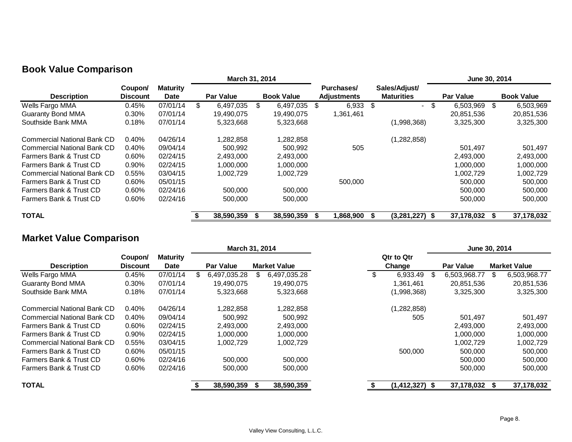|                                    |                            |                                | March 31, 2014   |     |                   |      |                                  |      |                                    | June 30, 2014    |      |                   |
|------------------------------------|----------------------------|--------------------------------|------------------|-----|-------------------|------|----------------------------------|------|------------------------------------|------------------|------|-------------------|
| <b>Description</b>                 | Coupon/<br><b>Discount</b> | <b>Maturity</b><br><b>Date</b> | <b>Par Value</b> |     | <b>Book Value</b> |      | Purchases/<br><b>Adjustments</b> |      | Sales/Adjust/<br><b>Maturities</b> | <b>Par Value</b> |      | <b>Book Value</b> |
| Wells Fargo MMA                    | 0.45%                      | 07/01/14                       | 6,497,035        | \$. | 6,497,035         | - \$ | 6,933                            | - \$ | $\sim$                             | 6,503,969        | - \$ | 6,503,969         |
| <b>Guaranty Bond MMA</b>           | 0.30%                      | 07/01/14                       | 19,490,075       |     | 19.490.075        |      | 1,361,461                        |      |                                    | 20.851.536       |      | 20,851,536        |
| Southside Bank MMA                 | 0.18%                      | 07/01/14                       | 5,323,668        |     | 5,323,668         |      |                                  |      | (1,998,368)                        | 3,325,300        |      | 3,325,300         |
| <b>Commercial National Bank CD</b> | 0.40%                      | 04/26/14                       | 1,282,858        |     | 1,282,858         |      |                                  |      | (1,282,858)                        |                  |      |                   |
| <b>Commercial National Bank CD</b> | 0.40%                      | 09/04/14                       | 500,992          |     | 500,992           |      | 505                              |      |                                    | 501,497          |      | 501,497           |
| Farmers Bank & Trust CD            | $0.60\%$                   | 02/24/15                       | 2.493.000        |     | 2,493,000         |      |                                  |      |                                    | 2,493,000        |      | 2,493,000         |
| Farmers Bank & Trust CD            | $0.90\%$                   | 02/24/15                       | 1,000,000        |     | 1,000,000         |      |                                  |      |                                    | 1,000,000        |      | 1,000,000         |
| <b>Commercial National Bank CD</b> | 0.55%                      | 03/04/15                       | 1,002,729        |     | 1,002,729         |      |                                  |      |                                    | 1.002.729        |      | 1,002,729         |
| Farmers Bank & Trust CD            | $0.60\%$                   | 05/01/15                       |                  |     |                   |      | 500,000                          |      |                                    | 500,000          |      | 500,000           |
| Farmers Bank & Trust CD            | 0.60%                      | 02/24/16                       | 500.000          |     | 500,000           |      |                                  |      |                                    | 500,000          |      | 500,000           |
| Farmers Bank & Trust CD            | 0.60%                      | 02/24/16                       | 500,000          |     | 500,000           |      |                                  |      |                                    | 500,000          |      | 500,000           |
| <b>TOTAL</b>                       |                            |                                | 38,590,359       |     | 38,590,359        |      | 868,900                          |      | (3,281,227)                        | 37,178,032       |      | 37,178,032        |

#### **Book Value Comparison**

## **Market Value Comparison**

|                                    |                            |                                | March 31, 2014   |                     |  |                             |     | June 30, 2014    |     |                     |
|------------------------------------|----------------------------|--------------------------------|------------------|---------------------|--|-----------------------------|-----|------------------|-----|---------------------|
| <b>Description</b>                 | Coupon/<br><b>Discount</b> | <b>Maturity</b><br><b>Date</b> | <b>Par Value</b> | <b>Market Value</b> |  | <b>Qtr to Qtr</b><br>Change |     | <b>Par Value</b> |     | <b>Market Value</b> |
| Wells Fargo MMA                    | 0.45%                      | 07/01/14                       | 6.497.035.28     | 6,497,035.28        |  | 6.933.49                    | \$. | 6.503.968.77     | \$. | 6,503,968.77        |
| <b>Guaranty Bond MMA</b>           | 0.30%                      | 07/01/14                       | 19,490,075       | 19,490,075          |  | 1,361,461                   |     | 20,851,536       |     | 20,851,536          |
| Southside Bank MMA                 | 0.18%                      | 07/01/14                       | 5,323,668        | 5,323,668           |  | (1,998,368)                 |     | 3,325,300        |     | 3,325,300           |
| <b>Commercial National Bank CD</b> | 0.40%                      | 04/26/14                       | 1,282,858        | 1,282,858           |  | (1, 282, 858)               |     |                  |     |                     |
| Commercial National Bank CD        | 0.40%                      | 09/04/14                       | 500,992          | 500,992             |  | 505                         |     | 501,497          |     | 501,497             |
| Farmers Bank & Trust CD            | 0.60%                      | 02/24/15                       | 2,493,000        | 2,493,000           |  |                             |     | 2,493,000        |     | 2,493,000           |
| Farmers Bank & Trust CD            | 0.90%                      | 02/24/15                       | 1,000,000        | 1,000,000           |  |                             |     | 1,000,000        |     | 1,000,000           |
| Commercial National Bank CD        | 0.55%                      | 03/04/15                       | 1,002,729        | ,002,729            |  |                             |     | ,002,729         |     | 1,002,729           |
| Farmers Bank & Trust CD            | 0.60%                      | 05/01/15                       |                  |                     |  | 500,000                     |     | 500,000          |     | 500,000             |
| Farmers Bank & Trust CD            | 0.60%                      | 02/24/16                       | 500,000          | 500,000             |  |                             |     | 500,000          |     | 500,000             |
| Farmers Bank & Trust CD            | 0.60%                      | 02/24/16                       | 500,000          | 500,000             |  |                             |     | 500,000          |     | 500,000             |
| <b>TOTAL</b>                       |                            |                                | 38,590,359       | 38,590,359          |  | $(1,412,327)$ \$            |     | 37,178,032       |     | 37,178,032          |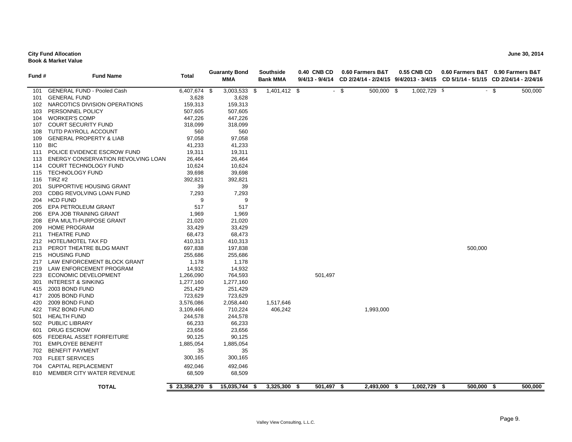#### **City Fund Allocation June 30, 2014 Book & Market Value**

| Fund # | <b>Fund Name</b>                   | Total        |      | <b>Guaranty Bond</b><br><b>MMA</b> | Southside<br><b>Bank MMA</b> | 0.40 CNB CD<br>9/4/13 - 9/4/14 |        | 0.60 Farmers B&T | <b>0.55 CNB CD</b> |            | 0.60 Farmers B&T 0.90 Farmers B&T<br>CD 2/24/14 - 2/24/15 9/4/2013 - 3/4/15 CD 5/1/14 - 5/1/15 CD 2/24/14 - 2/24/16 |
|--------|------------------------------------|--------------|------|------------------------------------|------------------------------|--------------------------------|--------|------------------|--------------------|------------|---------------------------------------------------------------------------------------------------------------------|
| 101    | <b>GENERAL FUND - Pooled Cash</b>  | 6,407,674 \$ |      | $3,003,533$ \$                     | 1,401,412 \$                 |                                | $-$ \$ | 500,000 \$       | 1,002,729 \$       |            | $-$ \$<br>500,000                                                                                                   |
| 101    | <b>GENERAL FUND</b>                | 3,628        |      | 3,628                              |                              |                                |        |                  |                    |            |                                                                                                                     |
| 102    | NARCOTICS DIVISION OPERATIONS      | 159,313      |      | 159,313                            |                              |                                |        |                  |                    |            |                                                                                                                     |
| 103    | PERSONNEL POLICY                   | 507,605      |      | 507,605                            |                              |                                |        |                  |                    |            |                                                                                                                     |
| 104    | <b>WORKER'S COMP</b>               | 447,226      |      | 447,226                            |                              |                                |        |                  |                    |            |                                                                                                                     |
| 107    | <b>COURT SECURITY FUND</b>         | 318,099      |      | 318,099                            |                              |                                |        |                  |                    |            |                                                                                                                     |
| 108    | TUTD PAYROLL ACCOUNT               | 560          |      | 560                                |                              |                                |        |                  |                    |            |                                                                                                                     |
| 109    | <b>GENERAL PROPERTY &amp; LIAB</b> | 97,058       |      | 97,058                             |                              |                                |        |                  |                    |            |                                                                                                                     |
| 110    | <b>BIC</b>                         | 41,233       |      | 41,233                             |                              |                                |        |                  |                    |            |                                                                                                                     |
|        | 111 POLICE EVIDENCE ESCROW FUND    | 19,311       |      | 19,311                             |                              |                                |        |                  |                    |            |                                                                                                                     |
| 113    | ENERGY CONSERVATION REVOLVING LOAN | 26,464       |      | 26,464                             |                              |                                |        |                  |                    |            |                                                                                                                     |
| 114    | <b>COURT TECHNOLOGY FUND</b>       | 10,624       |      | 10,624                             |                              |                                |        |                  |                    |            |                                                                                                                     |
| 115    | <b>TECHNOLOGY FUND</b>             | 39,698       |      | 39,698                             |                              |                                |        |                  |                    |            |                                                                                                                     |
| 116    | TIRZ #2                            | 392,821      |      | 392,821                            |                              |                                |        |                  |                    |            |                                                                                                                     |
| 201    | SUPPORTIVE HOUSING GRANT           | 39           |      | 39                                 |                              |                                |        |                  |                    |            |                                                                                                                     |
| 203    | CDBG REVOLVING LOAN FUND           | 7,293        |      | 7,293                              |                              |                                |        |                  |                    |            |                                                                                                                     |
|        | 204 HCD FUND                       | 9            |      | 9                                  |                              |                                |        |                  |                    |            |                                                                                                                     |
| 205    | EPA PETROLEUM GRANT                | 517          |      | 517                                |                              |                                |        |                  |                    |            |                                                                                                                     |
| 206    | EPA JOB TRAINING GRANT             | 1,969        |      | 1,969                              |                              |                                |        |                  |                    |            |                                                                                                                     |
| 208    | EPA MULTI-PURPOSE GRANT            | 21,020       |      | 21,020                             |                              |                                |        |                  |                    |            |                                                                                                                     |
| 209    | <b>HOME PROGRAM</b>                | 33,429       |      | 33,429                             |                              |                                |        |                  |                    |            |                                                                                                                     |
| 211    | THEATRE FUND                       | 68,473       |      | 68,473                             |                              |                                |        |                  |                    |            |                                                                                                                     |
| 212    | HOTEL/MOTEL TAX FD                 | 410,313      |      | 410,313                            |                              |                                |        |                  |                    |            |                                                                                                                     |
| 213    | PEROT THEATRE BLDG MAINT           | 697,838      |      | 197,838                            |                              |                                |        |                  |                    | 500,000    |                                                                                                                     |
| 215    | <b>HOUSING FUND</b>                | 255,686      |      | 255,686                            |                              |                                |        |                  |                    |            |                                                                                                                     |
| 217    | LAW ENFORCEMENT BLOCK GRANT        | 1,178        |      | 1,178                              |                              |                                |        |                  |                    |            |                                                                                                                     |
| 219    | LAW ENFORCEMENT PROGRAM            | 14,932       |      | 14,932                             |                              |                                |        |                  |                    |            |                                                                                                                     |
| 223    | ECONOMIC DEVELOPMENT               | 1,266,090    |      | 764,593                            |                              | 501,497                        |        |                  |                    |            |                                                                                                                     |
| 301    | <b>INTEREST &amp; SINKING</b>      | 1,277,160    |      | 1,277,160                          |                              |                                |        |                  |                    |            |                                                                                                                     |
| 415    | 2003 BOND FUND                     | 251,429      |      | 251,429                            |                              |                                |        |                  |                    |            |                                                                                                                     |
| 417    | 2005 BOND FUND                     | 723,629      |      | 723,629                            |                              |                                |        |                  |                    |            |                                                                                                                     |
| 420    | 2009 BOND FUND                     | 3,576,086    |      | 2,058,440                          | 1,517,646                    |                                |        |                  |                    |            |                                                                                                                     |
| 422    | TIRZ BOND FUND                     | 3,109,466    |      | 710,224                            | 406,242                      |                                |        | 1,993,000        |                    |            |                                                                                                                     |
| 501    | <b>HEALTH FUND</b>                 | 244,578      |      | 244,578                            |                              |                                |        |                  |                    |            |                                                                                                                     |
| 502    | <b>PUBLIC LIBRARY</b>              | 66,233       |      | 66,233                             |                              |                                |        |                  |                    |            |                                                                                                                     |
| 601    | <b>DRUG ESCROW</b>                 | 23,656       |      | 23,656                             |                              |                                |        |                  |                    |            |                                                                                                                     |
| 605    | FEDERAL ASSET FORFEITURE           | 90,125       |      | 90,125                             |                              |                                |        |                  |                    |            |                                                                                                                     |
| 701    | <b>EMPLOYEE BENEFIT</b>            | 1,885,054    |      | 1,885,054                          |                              |                                |        |                  |                    |            |                                                                                                                     |
| 702    | <b>BENEFIT PAYMENT</b>             | 35           |      | 35                                 |                              |                                |        |                  |                    |            |                                                                                                                     |
| 703    | <b>FLEET SERVICES</b>              | 300,165      |      | 300,165                            |                              |                                |        |                  |                    |            |                                                                                                                     |
| 704    | <b>CAPITAL REPLACEMENT</b>         | 492,046      |      | 492,046                            |                              |                                |        |                  |                    |            |                                                                                                                     |
| 810    | MEMBER CITY WATER REVENUE          | 68,509       |      | 68,509                             |                              |                                |        |                  |                    |            |                                                                                                                     |
|        |                                    |              |      |                                    |                              |                                |        |                  |                    |            |                                                                                                                     |
|        | <b>TOTAL</b>                       | \$23,358,270 | - \$ | 15,035,744 \$                      | $3,325,300$ \$               | 501,497 \$                     |        | 2,493,000 \$     | 1,002,729 \$       | 500,000 \$ | 500,000                                                                                                             |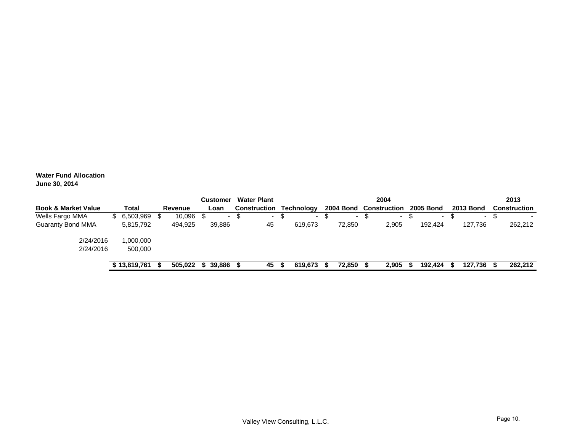**Water Fund Allocation June 30, 2014**

|                                |              |         | <b>Customer</b> |     | <b>Water Plant</b>       |      |                          |                          | 2004         |                  |   |                  | 2013                     |
|--------------------------------|--------------|---------|-----------------|-----|--------------------------|------|--------------------------|--------------------------|--------------|------------------|---|------------------|--------------------------|
| <b>Book &amp; Market Value</b> | Total        | Revenue | Loan            |     | <b>Construction</b>      |      | <b>Technology</b>        | <b>2004 Bond</b>         | Construction | <b>2005 Bond</b> |   | <b>2013 Bond</b> | <b>Construction</b>      |
| Wells Fargo MMA                | \$6,503,969  | 10,096  | -               | -JD | $\overline{\phantom{a}}$ | - 30 | $\overline{\phantom{0}}$ | $\overline{\phantom{0}}$ | $\sim$       |                  | Œ | ۰.               | $\overline{\phantom{a}}$ |
| <b>Guaranty Bond MMA</b>       | 5,815,792    | 494,925 | 39.886          |     | 45                       |      | 619.673                  | 72,850                   | 2,905        | 192,424          |   | 127.736          | 262,212                  |
| 2/24/2016                      | ,000,000     |         |                 |     |                          |      |                          |                          |              |                  |   |                  |                          |
| 2/24/2016                      | 500,000      |         |                 |     |                          |      |                          |                          |              |                  |   |                  |                          |
|                                | ነ 13.819.761 | 505,022 | 39,886          |     | 45                       |      | 619.673                  | 72,850                   | 2,905        | 192,424          |   | 127,736          | 262,212                  |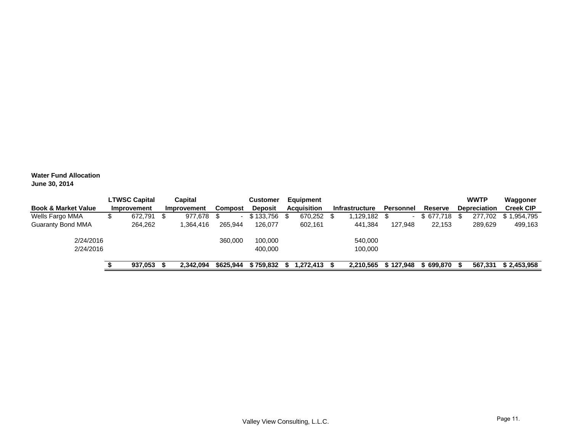**Water Fund Allocation June 30, 2014**

| <b>Book &amp; Market Value</b> | <b>LTWSC Capital</b><br>Improvement |      | Capital<br>Improvement | Compost   | Customer<br><b>Deposit</b> | Equipment<br><b>Acquisition</b> | <b>Infrastructure</b> | Personnel | Reserve   | <b>WWTP</b><br><b>Depreciation</b> | Waggoner<br><b>Creek CIP</b> |
|--------------------------------|-------------------------------------|------|------------------------|-----------|----------------------------|---------------------------------|-----------------------|-----------|-----------|------------------------------------|------------------------------|
| Wells Fargo MMA                | 672,791                             | - \$ | 977.678                | \$.       | \$133,756                  | 670,252                         | 1,129,182             |           | \$677,718 | 277.702                            | \$1,954,795                  |
| <b>Guaranty Bond MMA</b>       | 264,262                             |      | .364,416               | 265,944   | 126,077                    | 602,161                         | 441,384               | 127.948   | 22.153    | 289,629                            | 499,163                      |
| 2/24/2016                      |                                     |      |                        | 360,000   | 100.000                    |                                 | 540,000               |           |           |                                    |                              |
| 2/24/2016                      |                                     |      |                        |           | 400.000                    |                                 | 100,000               |           |           |                                    |                              |
|                                | 937.053                             |      | 2.342.094              | \$625.944 | \$759.832                  | 272.413. ا                      | 2.210.565             | \$127,948 | 699.870   | 567,331                            | \$2.453.958                  |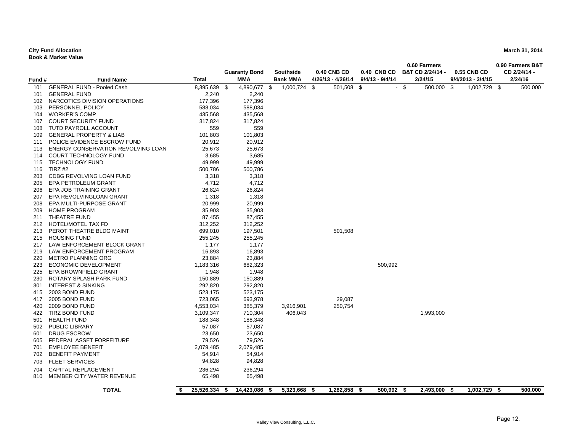#### **City Fund Allocation**

**Book & Market Value**

|        |                                    |                    |                      |                      |                    |                 | 0.60 Farmers       |                     | 0.90 Farmers B&T |
|--------|------------------------------------|--------------------|----------------------|----------------------|--------------------|-----------------|--------------------|---------------------|------------------|
|        |                                    |                    | <b>Guaranty Bond</b> | <b>Southside</b>     | <b>0.40 CNB CD</b> | 0.40 CNB CD     | B&T CD 2/24/14 -   | 0.55 CNB CD         | CD 2/24/14 -     |
| Fund # | <b>Fund Name</b>                   | <b>Total</b>       | MMA                  | <b>Bank MMA</b>      | 4/26/13 - 4/26/14  | 9/4/13 - 9/4/14 | 2/24/15            | $9/4/2013 - 3/4/15$ | 2/24/16          |
| 101    | <b>GENERAL FUND - Pooled Cash</b>  | 8,395,639          | 4,890,677<br>-\$     | 1,000,724<br>\$      | - \$<br>501,508    | -\$             | - \$<br>500,000 \$ | 1,002,729 \$        | 500,000          |
| 101    | <b>GENERAL FUND</b>                | 2,240              | 2,240                |                      |                    |                 |                    |                     |                  |
| 102    | NARCOTICS DIVISION OPERATIONS      | 177,396            | 177,396              |                      |                    |                 |                    |                     |                  |
| 103    | PERSONNEL POLICY                   | 588,034            | 588,034              |                      |                    |                 |                    |                     |                  |
| 104    | <b>WORKER'S COMP</b>               | 435,568            | 435,568              |                      |                    |                 |                    |                     |                  |
| 107    | <b>COURT SECURITY FUND</b>         | 317,824            | 317,824              |                      |                    |                 |                    |                     |                  |
| 108    | TUTD PAYROLL ACCOUNT               | 559                | 559                  |                      |                    |                 |                    |                     |                  |
| 109    | <b>GENERAL PROPERTY &amp; LIAB</b> | 101,803            | 101,803              |                      |                    |                 |                    |                     |                  |
| 111    | POLICE EVIDENCE ESCROW FUND        | 20,912             | 20,912               |                      |                    |                 |                    |                     |                  |
| 113    | ENERGY CONSERVATION REVOLVING LOAN | 25,673             | 25,673               |                      |                    |                 |                    |                     |                  |
| 114    | <b>COURT TECHNOLOGY FUND</b>       | 3,685              | 3,685                |                      |                    |                 |                    |                     |                  |
| 115    | <b>TECHNOLOGY FUND</b>             | 49,999             | 49,999               |                      |                    |                 |                    |                     |                  |
| 116    | TIRZ #2                            | 500,786            | 500,786              |                      |                    |                 |                    |                     |                  |
| 203    | CDBG REVOLVING LOAN FUND           | 3,318              | 3,318                |                      |                    |                 |                    |                     |                  |
| 205    | <b>EPA PETROLEUM GRANT</b>         | 4,712              | 4,712                |                      |                    |                 |                    |                     |                  |
| 206    | EPA JOB TRAINING GRANT             | 26,824             | 26,824               |                      |                    |                 |                    |                     |                  |
| 207    | EPA REVOLVINGLOAN GRANT            | 1,318              | 1,318                |                      |                    |                 |                    |                     |                  |
| 208    | EPA MULTI-PURPOSE GRANT            | 20,999             | 20,999               |                      |                    |                 |                    |                     |                  |
| 209    | <b>HOME PROGRAM</b>                | 35,903             | 35,903               |                      |                    |                 |                    |                     |                  |
| 211    | THEATRE FUND                       | 87,455             | 87,455               |                      |                    |                 |                    |                     |                  |
| 212    | HOTEL/MOTEL TAX FD                 | 312,252            | 312,252              |                      |                    |                 |                    |                     |                  |
| 213    | PEROT THEATRE BLDG MAINT           | 699,010            | 197,501              |                      | 501,508            |                 |                    |                     |                  |
| 215    | <b>HOUSING FUND</b>                | 255,245            | 255,245              |                      |                    |                 |                    |                     |                  |
| 217    | LAW ENFORCEMENT BLOCK GRANT        | 1,177              | 1,177                |                      |                    |                 |                    |                     |                  |
| 219    | LAW ENFORCEMENT PROGRAM            | 16,893             | 16,893               |                      |                    |                 |                    |                     |                  |
| 220    | <b>METRO PLANNING ORG</b>          | 23,884             | 23,884               |                      |                    |                 |                    |                     |                  |
| 223    | ECONOMIC DEVELOPMENT               | 1,183,316          | 682,323              |                      |                    | 500,992         |                    |                     |                  |
| 225    | EPA BROWNFIELD GRANT               | 1,948              | 1,948                |                      |                    |                 |                    |                     |                  |
| 230    | ROTARY SPLASH PARK FUND            | 150,889            | 150,889              |                      |                    |                 |                    |                     |                  |
| 301    | <b>INTEREST &amp; SINKING</b>      | 292,820            | 292,820              |                      |                    |                 |                    |                     |                  |
| 415    | 2003 BOND FUND                     | 523,175            | 523,175              |                      |                    |                 |                    |                     |                  |
| 417    | 2005 BOND FUND                     | 723,065            | 693,978              |                      | 29,087             |                 |                    |                     |                  |
| 420    | 2009 BOND FUND                     | 4,553,034          | 385,379              | 3,916,901            | 250,754            |                 |                    |                     |                  |
| 422    | TIRZ BOND FUND                     | 3,109,347          | 710,304              | 406,043              |                    |                 | 1,993,000          |                     |                  |
| 501    | <b>HEALTH FUND</b>                 | 188,348            | 188,348              |                      |                    |                 |                    |                     |                  |
| 502    | <b>PUBLIC LIBRARY</b>              | 57,087             | 57,087               |                      |                    |                 |                    |                     |                  |
| 601    | <b>DRUG ESCROW</b>                 | 23,650             | 23,650               |                      |                    |                 |                    |                     |                  |
| 605    | FEDERAL ASSET FORFEITURE           | 79,526             | 79,526               |                      |                    |                 |                    |                     |                  |
| 701    | <b>EMPLOYEE BENEFIT</b>            | 2,079,485          | 2,079,485            |                      |                    |                 |                    |                     |                  |
| 702    | <b>BENEFIT PAYMENT</b>             | 54,914             | 54,914               |                      |                    |                 |                    |                     |                  |
| 703    | <b>FLEET SERVICES</b>              | 94,828             | 94,828               |                      |                    |                 |                    |                     |                  |
| 704    | CAPITAL REPLACEMENT                | 236,294            | 236,294              |                      |                    |                 |                    |                     |                  |
| 810    | MEMBER CITY WATER REVENUE          | 65,498             | 65,498               |                      |                    |                 |                    |                     |                  |
|        | <b>TOTAL</b>                       | 25,526,334<br>- \$ | 14,423,086<br>- \$   | 5,323,668 \$<br>- \$ | 1,282,858 \$       | 500,992 \$      | 2,493,000 \$       | 1,002,729 \$        | 500,000          |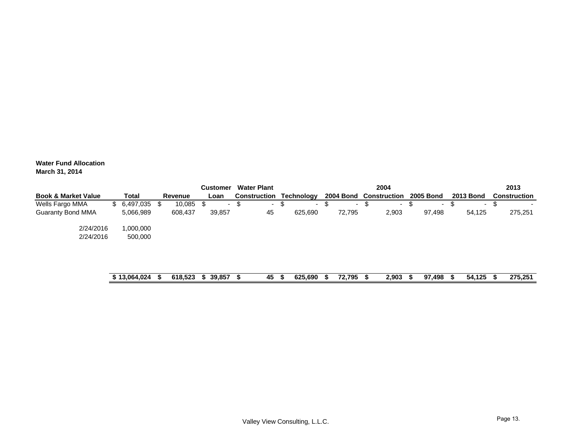**Water Fund Allocation March 31, 2014**

|                                |                 |         |    | <b>Customer</b> |   | <b>Water Plant</b> |                   |   |                  |    | 2004                |                  |   |                  |   | 2013                |
|--------------------------------|-----------------|---------|----|-----------------|---|--------------------|-------------------|---|------------------|----|---------------------|------------------|---|------------------|---|---------------------|
| <b>Book &amp; Market Value</b> | Total           | Revenue |    | Loan            |   | Construction       | <b>Technology</b> |   | <b>2004 Bond</b> |    | <b>Construction</b> | <b>2005 Bond</b> |   | <b>2013 Bond</b> |   | <b>Construction</b> |
| Wells Fargo MMA                | $$6,497,035$ \$ | 10,085  |    |                 | S | $\sim$             | \$<br>۰.          | ъ | ۰.               | -S | $\sim$              | $\sim$           | Œ | ۰.               | æ |                     |
| <b>Guaranty Bond MMA</b>       | 5,066,989       | 608,437 |    | 39,857          |   | 45                 | 625,690           |   | 72,795           |    | 2,903               | 97,498           |   | 54.125           |   | 275,251             |
| 2/24/2016                      | 000,000,        |         |    |                 |   |                    |                   |   |                  |    |                     |                  |   |                  |   |                     |
| 2/24/2016                      | 500,000         |         |    |                 |   |                    |                   |   |                  |    |                     |                  |   |                  |   |                     |
|                                |                 |         |    |                 |   |                    |                   |   |                  |    |                     |                  |   |                  |   |                     |
|                                | \$13,064,024    | 618,523 | S. | 39,857          |   | 45                 | 625,690           |   | 72,795           |    | 2,903               | 97,498           |   | 54,125           |   | 275.251             |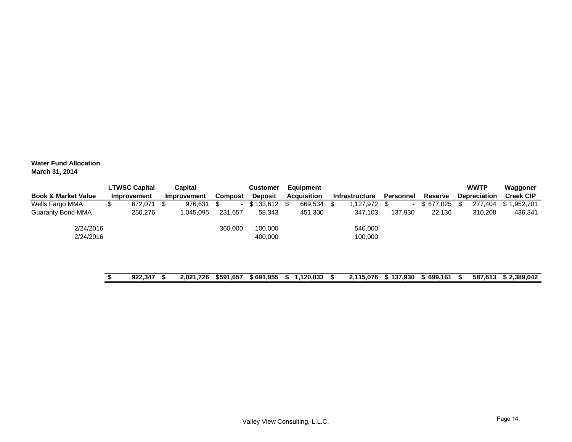**Water Fund Allocation March 31, 2014**

|           |         |                                     | Capital   |             | <b>Customer</b> |                   |               |                                 |         |                             |         |     |               | Waggoner                           |
|-----------|---------|-------------------------------------|-----------|-------------|-----------------|-------------------|---------------|---------------------------------|---------|-----------------------------|---------|-----|---------------|------------------------------------|
|           |         |                                     |           |             | <b>Deposit</b>  |                   |               |                                 |         | <b>Personnel</b>            | Reserve |     |               | <b>Creek CIP</b>                   |
| จ         | 672,071 | - \$                                | 976,631   | \$.         |                 |                   | 669,534       |                                 |         |                             |         |     | 277,404       | 1,952,701<br>S. 1                  |
|           | 250,276 |                                     | 1,045,095 | 231,657     | 58,343          |                   | 451,300       |                                 | 347,103 | 137,930                     | 22,136  |     | 310,208       | 436,341                            |
| 2/24/2016 |         |                                     |           | 360,000     | 100,000         |                   |               |                                 | 540,000 |                             |         |     |               |                                    |
| 2/24/2016 |         |                                     |           |             | 400,000         |                   |               |                                 | 100,000 |                             |         |     |               |                                    |
|           |         |                                     |           |             |                 |                   |               |                                 |         |                             |         |     |               |                                    |
|           |         |                                     |           |             |                 |                   |               |                                 |         |                             |         |     |               |                                    |
|           |         | <b>LTWSC Capital</b><br>Improvement |           | Improvement |                 | Compost<br>$\sim$ | $$133,612$ \$ | Equipment<br><b>Acquisition</b> |         | Infrastructure<br>1,127,972 |         | . . | $$677,025$ \$ | <b>WWTP</b><br><b>Depreciation</b> |

| 922,347 | 2,021,726 \$591,657 | $$691,955$ \$ 1,120,833 |  | 2,115,076 | \$137.930 | \$699,161 \$ | 587.613 | \$2,389,042 |
|---------|---------------------|-------------------------|--|-----------|-----------|--------------|---------|-------------|